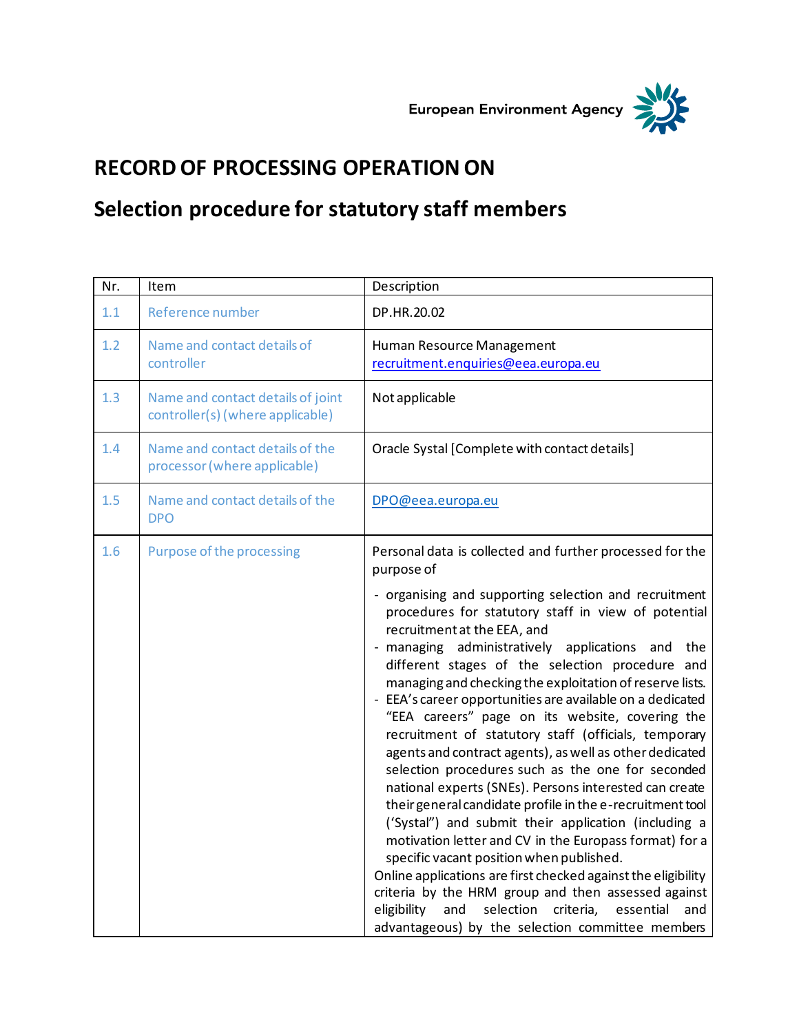European Environment Agency



## **RECORD OF PROCESSING OPERATION ON**

## **Selection procedure for statutory staff members**

| Nr. | Item                                                                  | Description                                                                                                                                                                                                                                                                                                                                                                                                                                                                                                                                                                                                                                                                                                                                                                                                                                                                                                                                                                                                                                                                                                                                    |
|-----|-----------------------------------------------------------------------|------------------------------------------------------------------------------------------------------------------------------------------------------------------------------------------------------------------------------------------------------------------------------------------------------------------------------------------------------------------------------------------------------------------------------------------------------------------------------------------------------------------------------------------------------------------------------------------------------------------------------------------------------------------------------------------------------------------------------------------------------------------------------------------------------------------------------------------------------------------------------------------------------------------------------------------------------------------------------------------------------------------------------------------------------------------------------------------------------------------------------------------------|
| 1.1 | Reference number                                                      | DP.HR.20.02                                                                                                                                                                                                                                                                                                                                                                                                                                                                                                                                                                                                                                                                                                                                                                                                                                                                                                                                                                                                                                                                                                                                    |
| 1.2 | Name and contact details of<br>controller                             | Human Resource Management<br>recruitment.enquiries@eea.europa.eu                                                                                                                                                                                                                                                                                                                                                                                                                                                                                                                                                                                                                                                                                                                                                                                                                                                                                                                                                                                                                                                                               |
| 1.3 | Name and contact details of joint<br>controller(s) (where applicable) | Not applicable                                                                                                                                                                                                                                                                                                                                                                                                                                                                                                                                                                                                                                                                                                                                                                                                                                                                                                                                                                                                                                                                                                                                 |
| 1.4 | Name and contact details of the<br>processor (where applicable)       | Oracle Systal [Complete with contact details]                                                                                                                                                                                                                                                                                                                                                                                                                                                                                                                                                                                                                                                                                                                                                                                                                                                                                                                                                                                                                                                                                                  |
| 1.5 | Name and contact details of the<br><b>DPO</b>                         | DPO@eea.europa.eu                                                                                                                                                                                                                                                                                                                                                                                                                                                                                                                                                                                                                                                                                                                                                                                                                                                                                                                                                                                                                                                                                                                              |
| 1.6 | <b>Purpose of the processing</b>                                      | Personal data is collected and further processed for the<br>purpose of                                                                                                                                                                                                                                                                                                                                                                                                                                                                                                                                                                                                                                                                                                                                                                                                                                                                                                                                                                                                                                                                         |
|     |                                                                       | - organising and supporting selection and recruitment<br>procedures for statutory staff in view of potential<br>recruitment at the EEA, and<br>- managing administratively applications and<br>the<br>different stages of the selection procedure and<br>managing and checking the exploitation of reserve lists.<br>- EEA's career opportunities are available on a dedicated<br>"EEA careers" page on its website, covering the<br>recruitment of statutory staff (officials, temporary<br>agents and contract agents), as well as other dedicated<br>selection procedures such as the one for seconded<br>national experts (SNEs). Persons interested can create<br>their general candidate profile in the e-recruitment tool<br>('Systal") and submit their application (including a<br>motivation letter and CV in the Europass format) for a<br>specific vacant position when published.<br>Online applications are first checked against the eligibility<br>criteria by the HRM group and then assessed against<br>eligibility<br>and<br>selection<br>criteria,<br>essential<br>and<br>advantageous) by the selection committee members |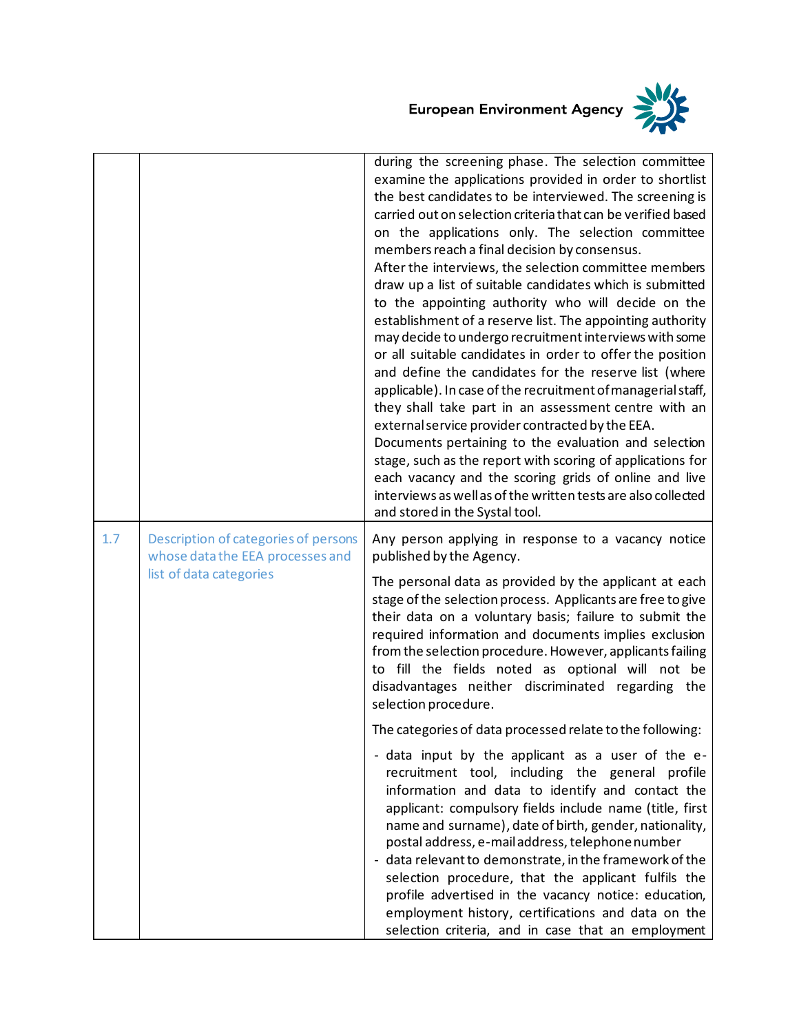

|     |                                                                                                     | during the screening phase. The selection committee<br>examine the applications provided in order to shortlist<br>the best candidates to be interviewed. The screening is<br>carried out on selection criteria that can be verified based<br>on the applications only. The selection committee<br>members reach a final decision by consensus.<br>After the interviews, the selection committee members<br>draw up a list of suitable candidates which is submitted<br>to the appointing authority who will decide on the<br>establishment of a reserve list. The appointing authority<br>may decide to undergo recruitment interviews with some<br>or all suitable candidates in order to offer the position<br>and define the candidates for the reserve list (where<br>applicable). In case of the recruitment of managerial staff,<br>they shall take part in an assessment centre with an<br>external service provider contracted by the EEA.<br>Documents pertaining to the evaluation and selection<br>stage, such as the report with scoring of applications for<br>each vacancy and the scoring grids of online and live<br>interviews as well as of the written tests are also collected<br>and stored in the Systal tool. |
|-----|-----------------------------------------------------------------------------------------------------|--------------------------------------------------------------------------------------------------------------------------------------------------------------------------------------------------------------------------------------------------------------------------------------------------------------------------------------------------------------------------------------------------------------------------------------------------------------------------------------------------------------------------------------------------------------------------------------------------------------------------------------------------------------------------------------------------------------------------------------------------------------------------------------------------------------------------------------------------------------------------------------------------------------------------------------------------------------------------------------------------------------------------------------------------------------------------------------------------------------------------------------------------------------------------------------------------------------------------------------|
| 1.7 | Description of categories of persons<br>whose data the EEA processes and<br>list of data categories | Any person applying in response to a vacancy notice<br>published by the Agency.                                                                                                                                                                                                                                                                                                                                                                                                                                                                                                                                                                                                                                                                                                                                                                                                                                                                                                                                                                                                                                                                                                                                                      |
|     |                                                                                                     | The personal data as provided by the applicant at each<br>stage of the selection process. Applicants are free to give<br>their data on a voluntary basis; failure to submit the<br>required information and documents implies exclusion<br>from the selection procedure. However, applicants failing<br>to fill the fields noted as optional will not be<br>disadvantages neither discriminated regarding the<br>selection procedure.                                                                                                                                                                                                                                                                                                                                                                                                                                                                                                                                                                                                                                                                                                                                                                                                |
|     |                                                                                                     | The categories of data processed relate to the following:                                                                                                                                                                                                                                                                                                                                                                                                                                                                                                                                                                                                                                                                                                                                                                                                                                                                                                                                                                                                                                                                                                                                                                            |
|     |                                                                                                     | - data input by the applicant as a user of the e-<br>recruitment tool, including the general profile<br>information and data to identify and contact the<br>applicant: compulsory fields include name (title, first<br>name and surname), date of birth, gender, nationality,<br>postal address, e-mail address, telephone number<br>- data relevant to demonstrate, in the framework of the<br>selection procedure, that the applicant fulfils the<br>profile advertised in the vacancy notice: education,<br>employment history, certifications and data on the<br>selection criteria, and in case that an employment                                                                                                                                                                                                                                                                                                                                                                                                                                                                                                                                                                                                              |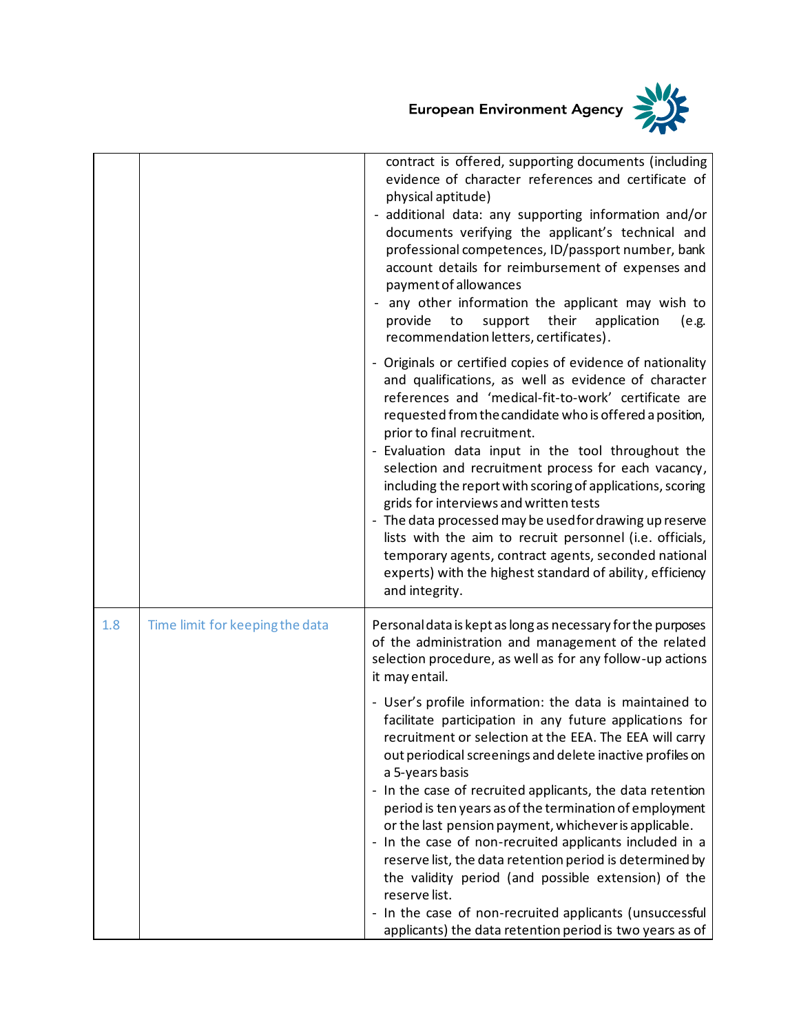

|     |                                 | contract is offered, supporting documents (including<br>evidence of character references and certificate of<br>physical aptitude)<br>- additional data: any supporting information and/or<br>documents verifying the applicant's technical and<br>professional competences, ID/passport number, bank<br>account details for reimbursement of expenses and<br>payment of allowances<br>any other information the applicant may wish to<br>their<br>provide<br>to<br>support<br>application<br>(e.g.<br>recommendation letters, certificates).<br>- Originals or certified copies of evidence of nationality<br>and qualifications, as well as evidence of character<br>references and 'medical-fit-to-work' certificate are<br>requested from the candidate who is offered a position,<br>prior to final recruitment.<br>- Evaluation data input in the tool throughout the<br>selection and recruitment process for each vacancy,<br>including the report with scoring of applications, scoring<br>grids for interviews and written tests<br>- The data processed may be used for drawing up reserve<br>lists with the aim to recruit personnel (i.e. officials,<br>temporary agents, contract agents, seconded national<br>experts) with the highest standard of ability, efficiency<br>and integrity. |
|-----|---------------------------------|---------------------------------------------------------------------------------------------------------------------------------------------------------------------------------------------------------------------------------------------------------------------------------------------------------------------------------------------------------------------------------------------------------------------------------------------------------------------------------------------------------------------------------------------------------------------------------------------------------------------------------------------------------------------------------------------------------------------------------------------------------------------------------------------------------------------------------------------------------------------------------------------------------------------------------------------------------------------------------------------------------------------------------------------------------------------------------------------------------------------------------------------------------------------------------------------------------------------------------------------------------------------------------------------------------|
| 1.8 | Time limit for keeping the data | Personal data is kept as long as necessary for the purposes<br>of the administration and management of the related<br>selection procedure, as well as for any follow-up actions<br>it may entail.<br>- User's profile information: the data is maintained to<br>facilitate participation in any future applications for<br>recruitment or selection at the EEA. The EEA will carry<br>out periodical screenings and delete inactive profiles on<br>a 5-years basis<br>- In the case of recruited applicants, the data retention<br>period is ten years as of the termination of employment<br>or the last pension payment, whichever is applicable.<br>- In the case of non-recruited applicants included in a<br>reserve list, the data retention period is determined by<br>the validity period (and possible extension) of the<br>reserve list.<br>- In the case of non-recruited applicants (unsuccessful<br>applicants) the data retention period is two years as of                                                                                                                                                                                                                                                                                                                               |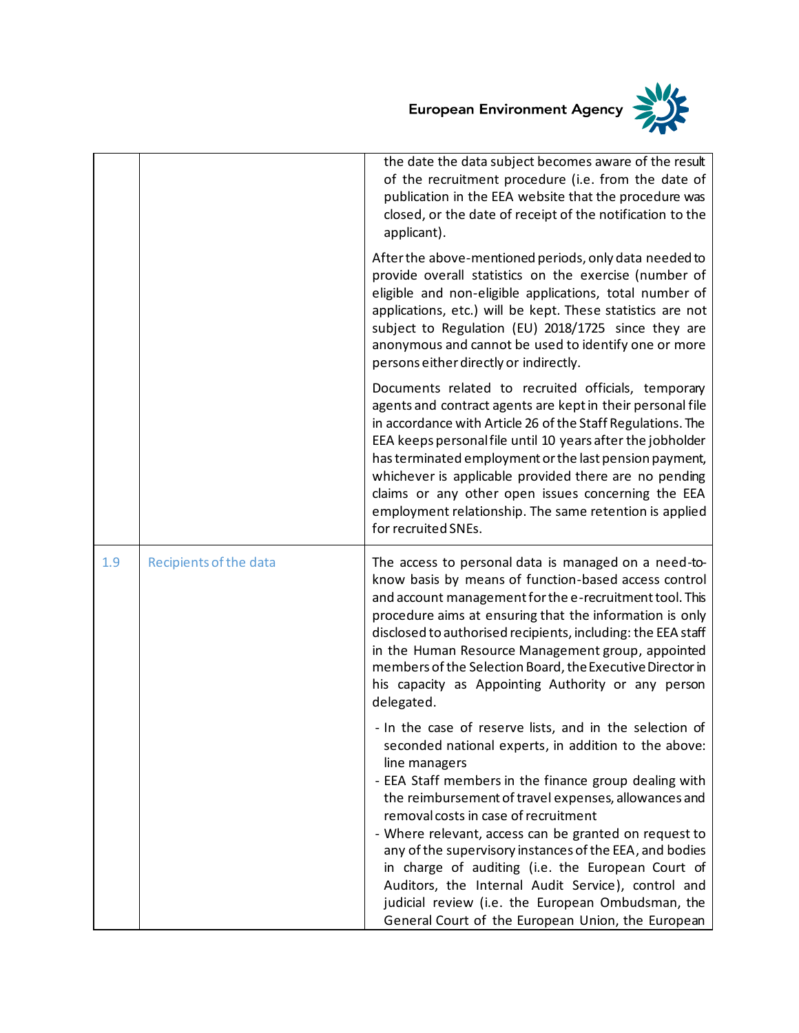European Environment Agency



|     |                        | the date the data subject becomes aware of the result<br>of the recruitment procedure (i.e. from the date of<br>publication in the EEA website that the procedure was<br>closed, or the date of receipt of the notification to the<br>applicant).                                                                                                                                                                                                                                                                                                                                                                                  |
|-----|------------------------|------------------------------------------------------------------------------------------------------------------------------------------------------------------------------------------------------------------------------------------------------------------------------------------------------------------------------------------------------------------------------------------------------------------------------------------------------------------------------------------------------------------------------------------------------------------------------------------------------------------------------------|
|     |                        | After the above-mentioned periods, only data needed to<br>provide overall statistics on the exercise (number of<br>eligible and non-eligible applications, total number of<br>applications, etc.) will be kept. These statistics are not<br>subject to Regulation (EU) 2018/1725 since they are<br>anonymous and cannot be used to identify one or more<br>persons either directly or indirectly.                                                                                                                                                                                                                                  |
|     |                        | Documents related to recruited officials, temporary<br>agents and contract agents are kept in their personal file<br>in accordance with Article 26 of the Staff Regulations. The<br>EEA keeps personal file until 10 years after the jobholder<br>has terminated employment or the last pension payment,<br>whichever is applicable provided there are no pending<br>claims or any other open issues concerning the EEA<br>employment relationship. The same retention is applied<br>for recruited SNEs.                                                                                                                           |
| 1.9 | Recipients of the data | The access to personal data is managed on a need-to-<br>know basis by means of function-based access control<br>and account management for the e-recruitment tool. This<br>procedure aims at ensuring that the information is only<br>disclosed to authorised recipients, including: the EEA staff<br>in the Human Resource Management group, appointed<br>members of the Selection Board, the Executive Director in<br>his capacity as Appointing Authority or any person<br>delegated.                                                                                                                                           |
|     |                        | - In the case of reserve lists, and in the selection of<br>seconded national experts, in addition to the above:<br>line managers<br>- EEA Staff members in the finance group dealing with<br>the reimbursement of travel expenses, allowances and<br>removal costs in case of recruitment<br>- Where relevant, access can be granted on request to<br>any of the supervisory instances of the EEA, and bodies<br>in charge of auditing (i.e. the European Court of<br>Auditors, the Internal Audit Service), control and<br>judicial review (i.e. the European Ombudsman, the<br>General Court of the European Union, the European |